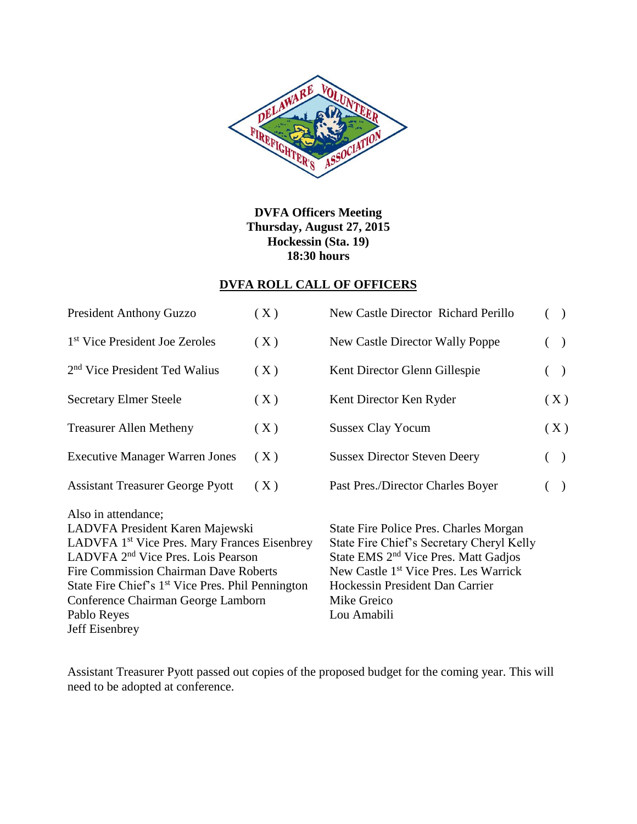

**DVFA Officers Meeting Thursday, August 27, 2015 Hockessin (Sta. 19) 18:30 hours**

## **DVFA ROLL CALL OF OFFICERS**

| <b>President Anthony Guzzo</b>                                                                                                                                                                                                                                                                                                                               | (X) | New Castle Director Richard Perillo                                                                                                                                                                                                                           | ( ) |               |               |
|--------------------------------------------------------------------------------------------------------------------------------------------------------------------------------------------------------------------------------------------------------------------------------------------------------------------------------------------------------------|-----|---------------------------------------------------------------------------------------------------------------------------------------------------------------------------------------------------------------------------------------------------------------|-----|---------------|---------------|
| 1 <sup>st</sup> Vice President Joe Zeroles                                                                                                                                                                                                                                                                                                                   | (X) | New Castle Director Wally Poppe                                                                                                                                                                                                                               |     |               | $\rightarrow$ |
| 2 <sup>nd</sup> Vice President Ted Walius                                                                                                                                                                                                                                                                                                                    | (X) | Kent Director Glenn Gillespie                                                                                                                                                                                                                                 |     | $\rightarrow$ |               |
| <b>Secretary Elmer Steele</b>                                                                                                                                                                                                                                                                                                                                | (X) | Kent Director Ken Ryder                                                                                                                                                                                                                                       |     |               | (X)           |
| <b>Treasurer Allen Metheny</b>                                                                                                                                                                                                                                                                                                                               | (X) | <b>Sussex Clay Yocum</b>                                                                                                                                                                                                                                      |     |               | (X)           |
| <b>Executive Manager Warren Jones</b>                                                                                                                                                                                                                                                                                                                        | (X) | <b>Sussex Director Steven Deery</b>                                                                                                                                                                                                                           |     | $\rightarrow$ |               |
| <b>Assistant Treasurer George Pyott</b>                                                                                                                                                                                                                                                                                                                      | (X) | Past Pres./Director Charles Boyer                                                                                                                                                                                                                             |     | $\big)$       |               |
| Also in attendance;<br>LADVFA President Karen Majewski<br>LADVFA 1 <sup>st</sup> Vice Pres. Mary Frances Eisenbrey<br>LADVFA 2 <sup>nd</sup> Vice Pres. Lois Pearson<br><b>Fire Commission Chairman Dave Roberts</b><br>State Fire Chief's 1 <sup>st</sup> Vice Pres. Phil Pennington<br>Conference Chairman George Lamborn<br>Pablo Reyes<br>Jeff Eisenbrey |     | State Fire Police Pres. Charles Morgan<br>State Fire Chief's Secretary Cheryl Kelly<br>State EMS 2 <sup>nd</sup> Vice Pres. Matt Gadjos<br>New Castle 1 <sup>st</sup> Vice Pres. Les Warrick<br>Hockessin President Dan Carrier<br>Mike Greico<br>Lou Amabili |     |               |               |

Assistant Treasurer Pyott passed out copies of the proposed budget for the coming year. This will need to be adopted at conference.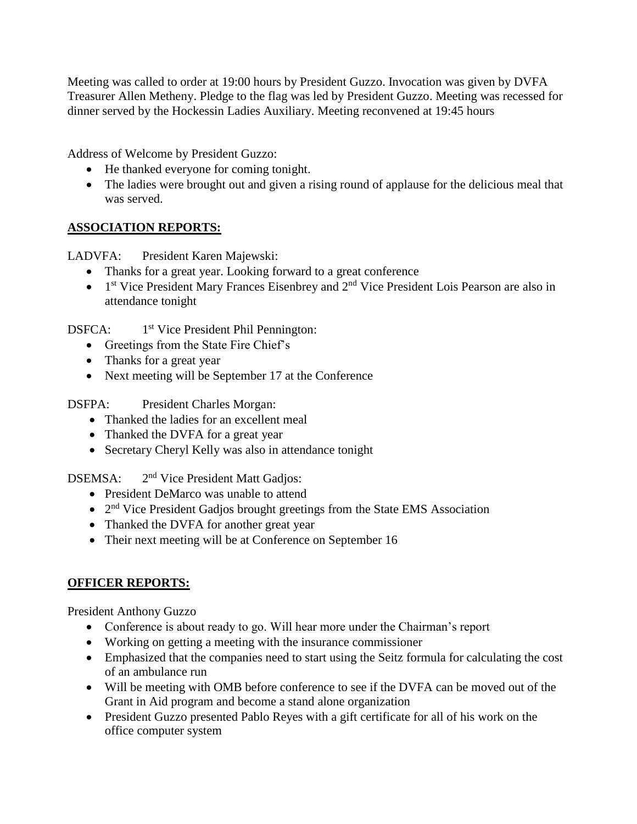Meeting was called to order at 19:00 hours by President Guzzo. Invocation was given by DVFA Treasurer Allen Metheny. Pledge to the flag was led by President Guzzo. Meeting was recessed for dinner served by the Hockessin Ladies Auxiliary. Meeting reconvened at 19:45 hours

Address of Welcome by President Guzzo:

- He thanked everyone for coming tonight.
- The ladies were brought out and given a rising round of applause for the delicious meal that was served.

## **ASSOCIATION REPORTS:**

LADVFA: President Karen Majewski:

- Thanks for a great year. Looking forward to a great conference
- $\bullet$  1<sup>st</sup> Vice President Mary Frances Eisenbrey and 2<sup>nd</sup> Vice President Lois Pearson are also in attendance tonight

DSFCA: 1<sup>st</sup> Vice President Phil Pennington:

- Greetings from the State Fire Chief's
- Thanks for a great year
- Next meeting will be September 17 at the Conference

DSFPA: President Charles Morgan:

- Thanked the ladies for an excellent meal
- Thanked the DVFA for a great year
- Secretary Cheryl Kelly was also in attendance tonight

DSEMSA: 2 2<sup>nd</sup> Vice President Matt Gadjos:

- President DeMarco was unable to attend
- 2<sup>nd</sup> Vice President Gadjos brought greetings from the State EMS Association
- Thanked the DVFA for another great year
- Their next meeting will be at Conference on September 16

## **OFFICER REPORTS:**

President Anthony Guzzo

- Conference is about ready to go. Will hear more under the Chairman's report
- Working on getting a meeting with the insurance commissioner
- Emphasized that the companies need to start using the Seitz formula for calculating the cost of an ambulance run
- Will be meeting with OMB before conference to see if the DVFA can be moved out of the Grant in Aid program and become a stand alone organization
- President Guzzo presented Pablo Reyes with a gift certificate for all of his work on the office computer system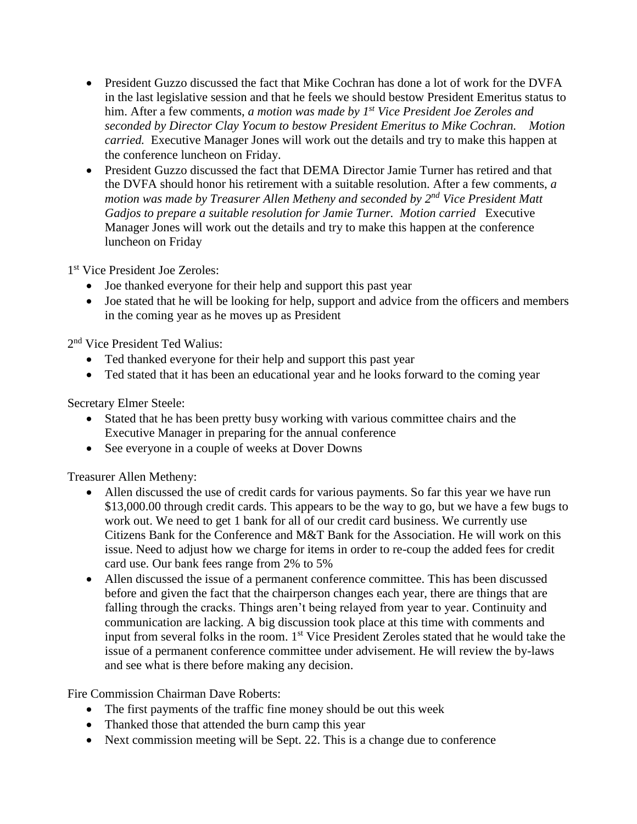- President Guzzo discussed the fact that Mike Cochran has done a lot of work for the DVFA in the last legislative session and that he feels we should bestow President Emeritus status to him. After a few comments, *a motion was made by 1st Vice President Joe Zeroles and seconded by Director Clay Yocum to bestow President Emeritus to Mike Cochran. Motion carried.* Executive Manager Jones will work out the details and try to make this happen at the conference luncheon on Friday.
- President Guzzo discussed the fact that DEMA Director Jamie Turner has retired and that the DVFA should honor his retirement with a suitable resolution. After a few comments, *a motion was made by Treasurer Allen Metheny and seconded by 2nd Vice President Matt Gadjos to prepare a suitable resolution for Jamie Turner. Motion carried* Executive Manager Jones will work out the details and try to make this happen at the conference luncheon on Friday

1 st Vice President Joe Zeroles:

- Joe thanked everyone for their help and support this past year
- Joe stated that he will be looking for help, support and advice from the officers and members in the coming year as he moves up as President

2<sup>nd</sup> Vice President Ted Walius:

- Ted thanked everyone for their help and support this past year
- Ted stated that it has been an educational year and he looks forward to the coming year

Secretary Elmer Steele:

- Stated that he has been pretty busy working with various committee chairs and the Executive Manager in preparing for the annual conference
- See everyone in a couple of weeks at Dover Downs

Treasurer Allen Metheny:

- Allen discussed the use of credit cards for various payments. So far this year we have run \$13,000.00 through credit cards. This appears to be the way to go, but we have a few bugs to work out. We need to get 1 bank for all of our credit card business. We currently use Citizens Bank for the Conference and M&T Bank for the Association. He will work on this issue. Need to adjust how we charge for items in order to re-coup the added fees for credit card use. Our bank fees range from 2% to 5%
- Allen discussed the issue of a permanent conference committee. This has been discussed before and given the fact that the chairperson changes each year, there are things that are falling through the cracks. Things aren't being relayed from year to year. Continuity and communication are lacking. A big discussion took place at this time with comments and input from several folks in the room. 1<sup>st</sup> Vice President Zeroles stated that he would take the issue of a permanent conference committee under advisement. He will review the by-laws and see what is there before making any decision.

Fire Commission Chairman Dave Roberts:

- The first payments of the traffic fine money should be out this week
- Thanked those that attended the burn camp this year
- Next commission meeting will be Sept. 22. This is a change due to conference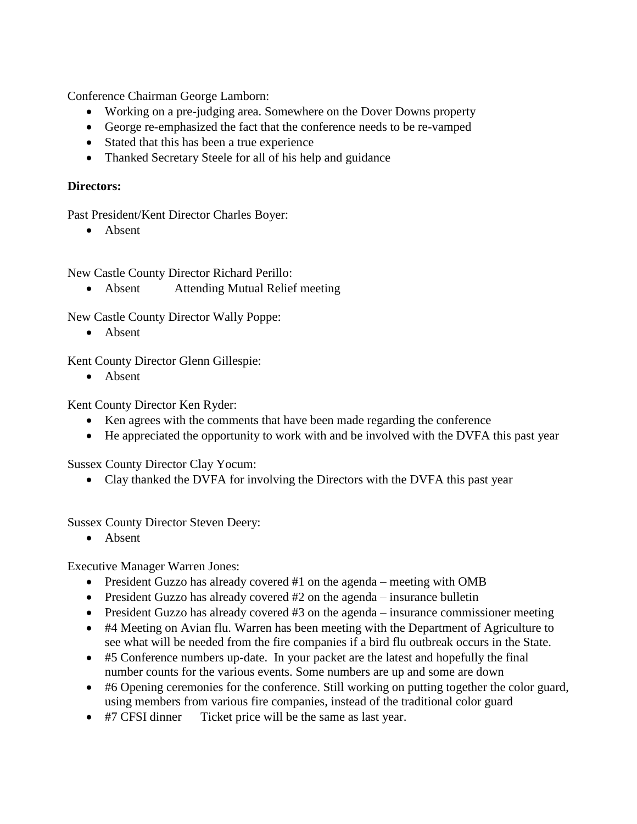Conference Chairman George Lamborn:

- Working on a pre-judging area. Somewhere on the Dover Downs property
- George re-emphasized the fact that the conference needs to be re-vamped
- Stated that this has been a true experience
- Thanked Secretary Steele for all of his help and guidance

## **Directors:**

Past President/Kent Director Charles Boyer:

• Absent

New Castle County Director Richard Perillo:

• Absent Attending Mutual Relief meeting

New Castle County Director Wally Poppe:

• Absent

Kent County Director Glenn Gillespie:

• Absent

Kent County Director Ken Ryder:

- Ken agrees with the comments that have been made regarding the conference
- He appreciated the opportunity to work with and be involved with the DVFA this past year

Sussex County Director Clay Yocum:

• Clay thanked the DVFA for involving the Directors with the DVFA this past year

Sussex County Director Steven Deery:

• Absent

Executive Manager Warren Jones:

- President Guzzo has already covered #1 on the agenda meeting with OMB
- President Guzzo has already covered #2 on the agenda insurance bulletin
- President Guzzo has already covered #3 on the agenda insurance commissioner meeting
- #4 Meeting on Avian flu. Warren has been meeting with the Department of Agriculture to see what will be needed from the fire companies if a bird flu outbreak occurs in the State.
- #5 Conference numbers up-date. In your packet are the latest and hopefully the final number counts for the various events. Some numbers are up and some are down
- #6 Opening ceremonies for the conference. Still working on putting together the color guard, using members from various fire companies, instead of the traditional color guard
- #7 CFSI dinner Ticket price will be the same as last year.